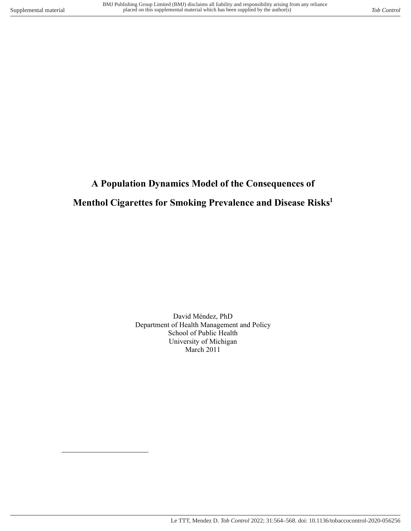$\overline{a}$ 

# **A Population Dynamics Model of the Consequences of Menthol Cigarettes for Smoking Prevalence and Disease Risks<sup>1</sup>**

David Méndez, PhD Department of Health Management and Policy School of Public Health University of Michigan March 2011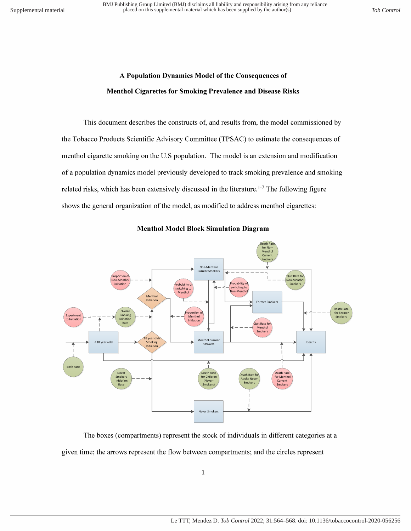## A Population Dynamics Model of the Consequences of **Menthol Cigarettes for Smoking Prevalence and Disease Risks**

This document describes the constructs of, and results from, the model commissioned by the Tobacco Products Scientific Advisory Committee (TPSAC) to estimate the consequences of menthol cigarette smoking on the U.S population. The model is an extension and modification of a population dynamics model previously developed to track smoking prevalence and smoking related risks, which has been extensively discussed in the literature.<sup>1-7</sup> The following figure shows the general organization of the model, as modified to address menthol cigarettes:



#### **Menthol Model Block Simulation Diagram**

The boxes (compartments) represent the stock of individuals in different categories at a given time; the arrows represent the flow between compartments; and the circles represent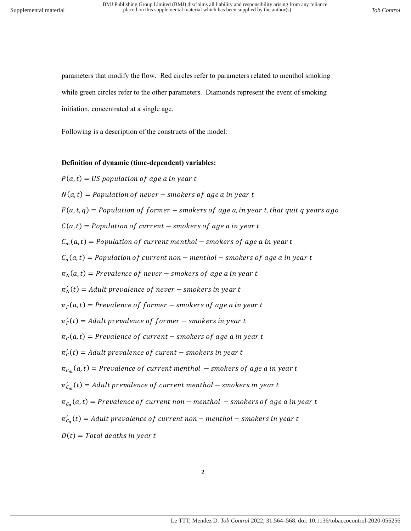parameters that modify the flow. Red circles refer to parameters related to menthol smoking while green circles refer to the other parameters. Diamonds represent the event of smoking initiation, concentrated at a single age.

Following is a description of the constructs of the model:

#### **Definition of dynamic (time-dependent) variables:**

$$
P(a,t) = US population of age a in year t
$$
  
\n $N(a,t) = Population of never - smokers of age a in year t$   
\n $F(a,t,q) = Population of former - smokers of age a in year t$   
\n $F(a,t,q) = Population of former - smokers of age a in year t$   
\n $C_m(a,t) = Population of current - smokers of age a in year t$   
\n $C_m(a,t) = Population of current method - smokers of age a in year t$   
\n $C_n(a,t) = Population of current non - menthol - smokers of age a in year t$   
\n $\pi_N(a,t) = Prevalence of never - smokers of age a in year t$   
\n $\pi'_N(t) = Adult prevalence of never - smokers in year t$   
\n $\pi'_F(t) = Adult prevalence of former - smokers in year t$   
\n $\pi'_C(a,t) = Prevalence of current - smokers of age a in year t$   
\n $\pi'_C(t) = Adult prevalence of current - smokers of age a in year t$   
\n $\pi'_{C_n}(t) = Adult prevalence of current method - smokers of age a in year t$   
\n $\pi'_{C_m}(t) = Adult prevalence of current method - smokers of age a in year t$   
\n $\pi'_{C_n}(t) = Adult prevalence of current non - menthol - smokers of age a in year t$   
\n $\pi'_{C_n}(t) = Adult prevalence of current non - menthol - smokers of age a in year t$   
\n $D(t) = Total deaths in year t$ 

2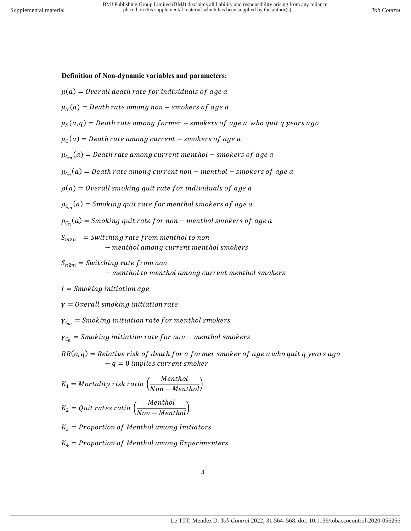#### **Definition of Non-dynamic variables and parameters:**

$$
\mu(a) = Overall\ death\ rate\ for\ individuals\ of\ age\ a
$$

$$
\mu_N(a) = Death\ rate\ among\ non-smokers\ of\ age\ a
$$

 $\mu_F(a,q) = \textit{Death}\,$  rate among former  $-$  smokers of  $\textit{age}\,{}$  a who quit  $q$  years  $\textit{ago}$ 

 $\mu_{\mathcal{C}}(a) = \textit{Death rate among current}-\textit{smokes of age a}$ 

 $\mu_{\mathcal{C}_m}(a) = D$ eath rate among current menthol — smokers of  $\emph{age}$  a

- $\mu_{\mathcal{C}_n}(a) = \textit{Death rate among current non-menthol}-\textit{smokes of age a}$
- $\rho(a) =$  Overall smoking quit rate for individuals of age a
- $\rho_{\mathcal{C}_m}(a) =$  Smoking quit rate for menthol smokers of  $\emph{age}$  a

 $\rho_{\mathcal{C}_n}(a) =$  Smoking quit rate for non — menthol smokers of age a

- $S_{m2n}$  = Switching rate from menthol to non − menthol among current menthol smokers
- $S_{n2m} =$  Switching rate from non − menthol to menthol among current menthol smokers
- $I = Smoking$  initiation age

 $y = 0$  verall smoking initiation rate

 $\gamma_{C_m}$  = Smoking initiation rate for menthol smokers

 $\gamma_{C_n}$  = Smoking initiation rate for non – menthol smokers

 $RR(a, q) = Relative risk of death for a former smoker of age a who quit q years ago$  $-q = 0$  implies current smoker

$$
K_1 = Mortality risk ratio \left(\frac{Menthol}{Non-Menthol}\right)
$$

$$
K_2 = Quit rates ratio \left(\frac{Menthol}{Non-Menthol}\right)
$$

 $K_3$  = Proportion of Menthol among Initiators

 $K_4$  = Proportion of Menthol among Experimenters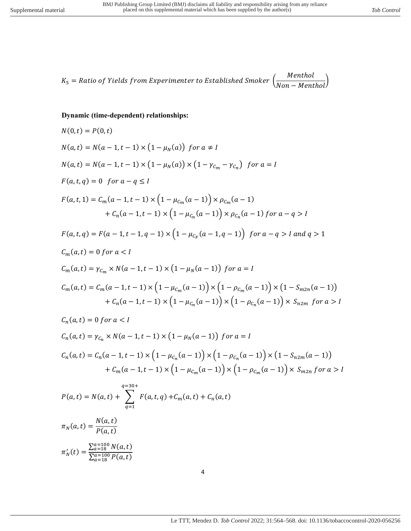$$
K_5 = Ratio \ of \ Yields \ from \ Experimenter \ to \ Established \ Smoker \left(\frac{Menthol}{Non-Menthol}\right)
$$

### **Dynamic (time-dependent) relationships:**

$$
N(0,t) = P(0,t)
$$
  
\n
$$
N(a,t) = N(a-1,t-1) \times (1 - \mu_N(a)) \text{ for } a \neq I
$$
  
\n
$$
N(a,t) = N(a-1,t-1) \times (1 - \mu_N(a)) \times (1 - \gamma_{c_m} - \gamma_{c_n}) \text{ for } a = I
$$
  
\n
$$
F(a,t,q) = 0 \text{ for } a-q \leq I
$$
  
\n
$$
F(a,t,q) = C_m(a-1,t-1) \times (1 - \mu_{c_m}(a-1)) \times \rho_{c_m}(a-1)
$$
  
\n
$$
+ C_n(a-1,t-1) \times (1 - \mu_{c_n}(a-1)) \times \rho_{c_n}(a-1) \text{ for } a-q > I
$$
  
\n
$$
F(a,t,q) = F(a-1,t-1,q-1) \times (1 - \mu_{c_n}(a-1,q-1)) \text{ for } a-q > I \text{ and } q > 1
$$
  
\n
$$
C_m(a,t) = 0 \text{ for } a < I
$$
  
\n
$$
C_m(a,t) = \gamma_{c_m} \times N(a-1,t-1) \times (1 - \mu_N(a-1)) \text{ for } a = I
$$
  
\n
$$
C_m(a,t) = C_m(a-1,t-1) \times (1 - \mu_{c_m}(a-1)) \times (1 - \rho_{c_m}(a-1)) \times (1 - S_{m2n}(a-1))
$$
  
\n
$$
+ C_n(a-1,t-1) \times (1 - \mu_{c_m}(a-1)) \times (1 - \rho_{c_n}(a-1)) \times S_{n2m} \text{ for } a > I
$$
  
\n
$$
C_n(a,t) = 0 \text{ for } a < I
$$
  
\n
$$
C_n(a,t) = \gamma_{c_n} \times N(a-1,t-1) \times (1 - \mu_N(a-1)) \text{ for } a = I
$$
  
\n
$$
C_n(a,t) = \gamma_{c_n} \times N(a-1,t-1) \times (1 - \mu_{c_n}(a-1)) \times (1 - \rho_{c_n}(a-1)) \times (1 - S_{n2m}(a-1))
$$
  
\n
$$
+ C_m(a-1,t-1) \times (1 - \mu_{c_m}(a-1)) \times (1 - \rho_{c_m}(a-1)) \
$$

$$
P(a,t) = N(a,t) + \sum_{q=1}^{q-30} F(a,t,q) + C_m(a,t) + C_n(a,t)
$$

$$
\pi_N(a, t) = \frac{N(a, t)}{P(a, t)}
$$

$$
\pi'_N(t) = \frac{\sum_{a=100}^{a=100} N(a, t)}{\sum_{a=100}^{a=100} P(a, t)}
$$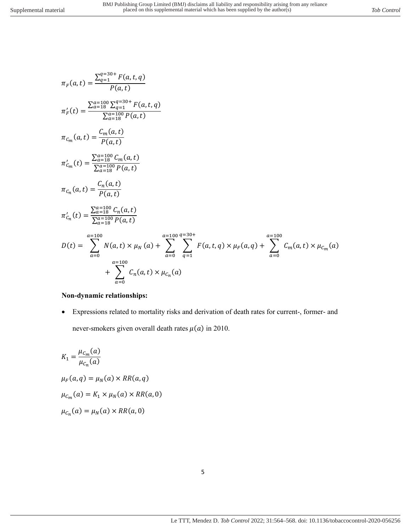$$
\pi_F(a,t) = \frac{\sum_{q=1}^{q=30+} F(a,t,q)}{P(a,t)}
$$
\n
$$
\pi'_F(t) = \frac{\sum_{a=10}^{a=100} \sum_{q=1}^{q=30+} F(a,t,q)}{\sum_{a=10}^{a=100} P(a,t)}
$$
\n
$$
\pi_{c_m}(a,t) = \frac{C_m(a,t)}{P(a,t)}
$$
\n
$$
\pi'_{c_m}(t) = \frac{\sum_{a=100}^{a=100} C_m(a,t)}{\sum_{a=10}^{a=100} P(a,t)}
$$
\n
$$
\pi_{c_n}(a,t) = \frac{C_n(a,t)}{P(a,t)}
$$
\n
$$
\pi'_{c_n}(t) = \frac{\sum_{a=100}^{a=100} C_n(a,t)}{\sum_{a=100}^{a=100} P(a,t)}
$$
\n
$$
D(t) = \sum_{a=0}^{a=100} N(a,t) \times \mu_N(a) + \sum_{a=0}^{a=100} \sum_{q=1}^{q=30+} F(a,t,q) \times \mu_F(a,q) + \sum_{a=0}^{a=100} C_m(a,t) \times \mu_{c_m}(a)
$$
\n
$$
+ \sum_{a=0}^{a=100} C_n(a,t) \times \mu_{c_n}(a)
$$

#### **Non-dynamic relationships:**

• Expressions related to mortality risks and derivation of death rates for current-, former- and never-smokers given overall death rates  $\mu(a)$  in 2010.

$$
K_1 = \frac{\mu_{C_m}(a)}{\mu_{C_n}(a)}
$$
  
\n
$$
\mu_F(a, q) = \mu_N(a) \times RR(a, q)
$$
  
\n
$$
\mu_{C_m}(a) = K_1 \times \mu_N(a) \times RR(a, 0)
$$
  
\n
$$
\mu_{C_n}(a) = \mu_N(a) \times RR(a, 0)
$$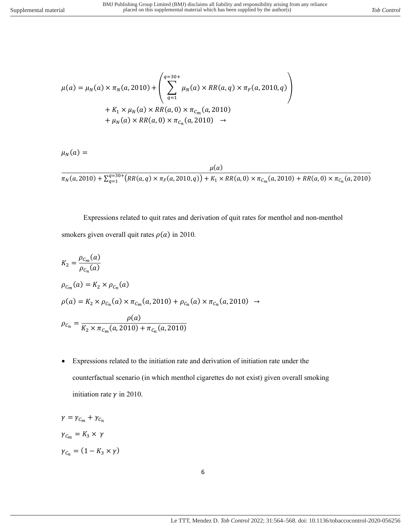$$
\mu(a) = \mu_N(a) \times \pi_N(a, 2010) + \left( \sum_{q=1}^{q=30+} \mu_N(a) \times RR(a, q) \times \pi_F(a, 2010, q) \right) \n+ K_1 \times \mu_N(a) \times RR(a, 0) \times \pi_{C_m}(a, 2010) \n+ \mu_N(a) \times RR(a, 0) \times \pi_{C_n}(a, 2010) \rightarrow
$$

$$
\mu_N(a) =
$$

$$
\frac{\mu(a)}{\pi_N(a,2010) + \sum_{q=1}^{q=30^+} \left( RR(a,q) \times \pi_F(a,2010,q) \right) + K_1 \times RR(a,0) \times \pi_{C_m}(a,2010) + RR(a,0) \times \pi_{C_n}(a,2010)}
$$

Expressions related to quit rates and derivation of quit rates for menthol and non-menthol smokers given overall quit rates  $\rho(a)$  in 2010.

$$
K_2 = \frac{\rho_{C_m}(a)}{\rho_{C_n}(a)}
$$
  
\n
$$
\rho_{C_m}(a) = K_2 \times \rho_{C_n}(a)
$$
  
\n
$$
\rho(a) = K_2 \times \rho_{C_n}(a) \times \pi_{C_m}(a, 2010) + \rho_{C_n}(a) \times \pi_{C_n}(a, 2010) \rightarrow
$$
  
\n
$$
\rho_{C_n} = \frac{\rho(a)}{K_2 \times \pi_{C_m}(a, 2010) + \pi_{C_n}(a, 2010)}
$$

• Expressions related to the initiation rate and derivation of initiation rate under the counterfactual scenario (in which menthol cigarettes do not exist) given overall smoking initiation rate  $\gamma$  in 2010.

$$
\gamma = \gamma_{C_m} + \gamma_{C_n}
$$
  

$$
\gamma_{C_m} = K_3 \times \gamma
$$
  

$$
\gamma_{C_n} = (1 - K_3 \times \gamma)
$$